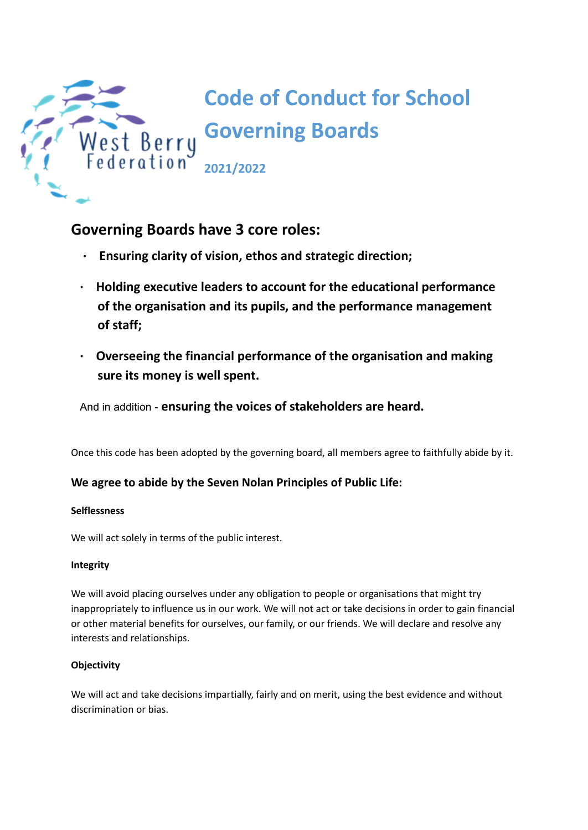

# **Governing Boards have 3 core roles:**

- **· Ensuring clarity of vision, ethos and strategic direction;**
- **· Holding executive leaders to account for the educational performance of the organisation and its pupils, and the performance management of staff;**
- **· Overseeing the financial performance of the organisation and making sure its money is well spent.**

And in addition - **ensuring the voices of stakeholders are heard.**

Once this code has been adopted by the governing board, all members agree to faithfully abide by it.

## **We agree to abide by the Seven Nolan Principles of Public Life:**

## **Selflessness**

We will act solely in terms of the public interest.

## **Integrity**

We will avoid placing ourselves under any obligation to people or organisations that might try inappropriately to influence us in our work. We will not act or take decisions in order to gain financial or other material benefits for ourselves, our family, or our friends. We will declare and resolve any interests and relationships.

## **Objectivity**

We will act and take decisions impartially, fairly and on merit, using the best evidence and without discrimination or bias.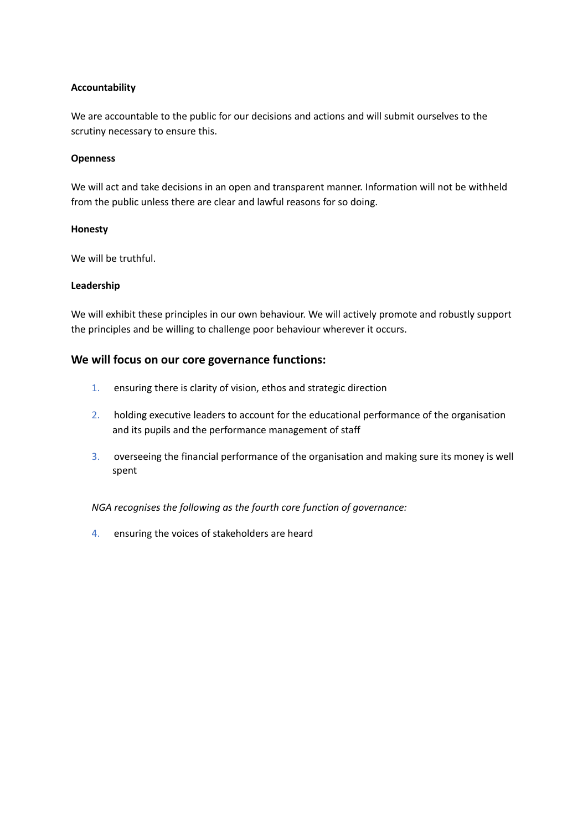## **Accountability**

We are accountable to the public for our decisions and actions and will submit ourselves to the scrutiny necessary to ensure this.

## **Openness**

We will act and take decisions in an open and transparent manner. Information will not be withheld from the public unless there are clear and lawful reasons for so doing.

## **Honesty**

We will be truthful.

## **Leadership**

We will exhibit these principles in our own behaviour. We will actively promote and robustly support the principles and be willing to challenge poor behaviour wherever it occurs.

## **We will focus on our core governance functions:**

- 1. ensuring there is clarity of vision, ethos and strategic direction
- 2. holding executive leaders to account for the educational performance of the organisation and its pupils and the performance management of staff
- 3. overseeing the financial performance of the organisation and making sure its money is well spent

*NGA recognises the following as the fourth core function of governance:*

4. ensuring the voices of stakeholders are heard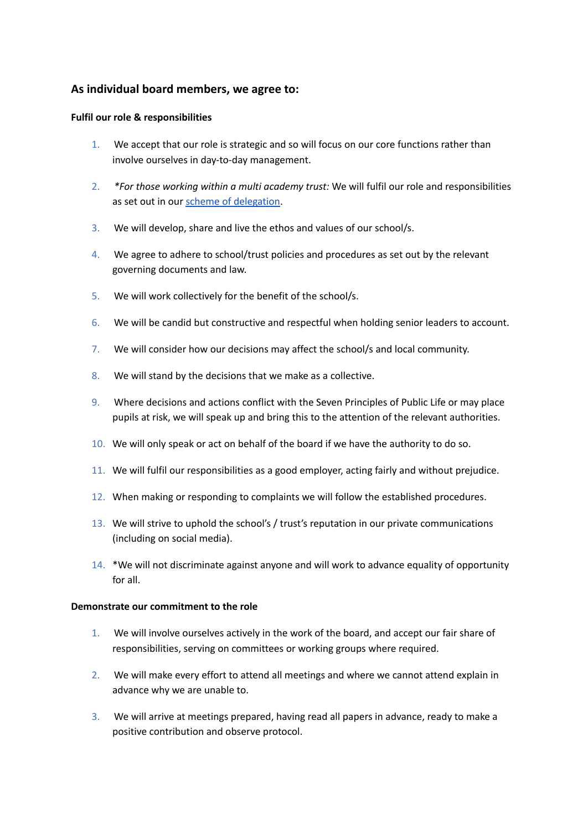## **As individual board members, we agree to:**

## **Fulfil our role & responsibilities**

- 1. We accept that our role is strategic and so will focus on our core functions rather than involve ourselves in day-to-day management.
- 2. *\*For those working within a multi academy trust:* We will fulfil our role and responsibilities as set out in our scheme of [delegation](https://www.nga.org.uk/Knowledge-Centre/Governance-structure-roles-and-responsibilities/Academy-trusts/Scheme-of-delegation.aspx).
- 3. We will develop, share and live the ethos and values of our school/s.
- 4. We agree to adhere to school/trust policies and procedures as set out by the relevant governing documents and law.
- 5. We will work collectively for the benefit of the school/s.
- 6. We will be candid but constructive and respectful when holding senior leaders to account.
- 7. We will consider how our decisions may affect the school/s and local community.
- 8. We will stand by the decisions that we make as a collective.
- 9. Where decisions and actions conflict with the Seven Principles of Public Life or may place pupils at risk, we will speak up and bring this to the attention of the relevant authorities.
- 10. We will only speak or act on behalf of the board if we have the authority to do so.
- 11. We will fulfil our responsibilities as a good employer, acting fairly and without prejudice.
- 12. When making or responding to complaints we will follow the established procedures.
- 13. We will strive to uphold the school's / trust's reputation in our private communications (including on social media).
- 14. \*We will not discriminate against anyone and will work to advance equality of opportunity for all.

## **Demonstrate our commitment to the role**

- 1. We will involve ourselves actively in the work of the board, and accept our fair share of responsibilities, serving on committees or working groups where required.
- 2. We will make every effort to attend all meetings and where we cannot attend explain in advance why we are unable to.
- 3. We will arrive at meetings prepared, having read all papers in advance, ready to make a positive contribution and observe protocol.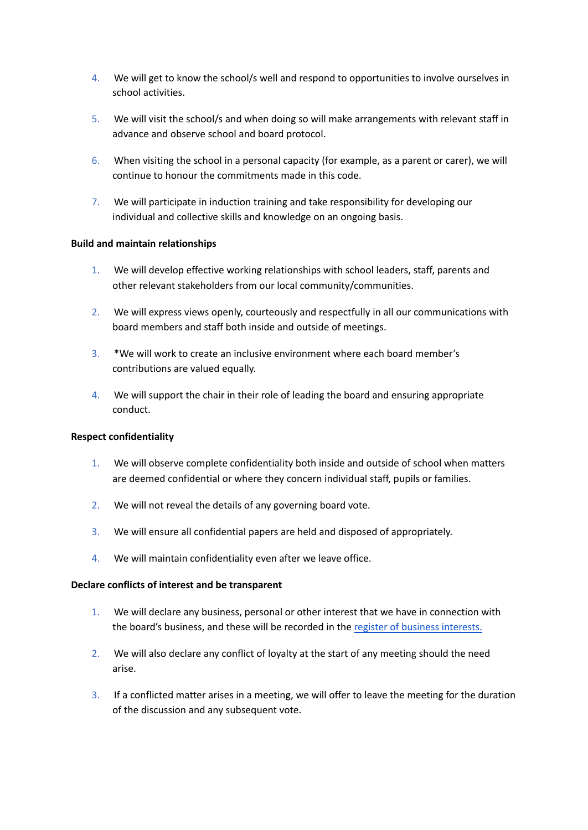- 4. We will get to know the school/s well and respond to opportunities to involve ourselves in school activities.
- 5. We will visit the school/s and when doing so will make arrangements with relevant staff in advance and observe school and board protocol.
- 6. When visiting the school in a personal capacity (for example, as a parent or carer), we will continue to honour the commitments made in this code.
- 7. We will participate in induction training and take responsibility for developing our individual and collective skills and knowledge on an ongoing basis.

## **Build and maintain relationships**

- 1. We will develop effective working relationships with school leaders, staff, parents and other relevant stakeholders from our local community/communities.
- 2. We will express views openly, courteously and respectfully in all our communications with board members and staff both inside and outside of meetings.
- 3. \*We will work to create an inclusive environment where each board member's contributions are valued equally.
- 4. We will support the chair in their role of leading the board and ensuring appropriate conduct.

## **Respect confidentiality**

- 1. We will observe complete confidentiality both inside and outside of school when matters are deemed confidential or where they concern individual staff, pupils or families.
- 2. We will not reveal the details of any governing board vote.
- 3. We will ensure all confidential papers are held and disposed of appropriately.
- 4. We will maintain confidentiality even after we leave office.

## **Declare conflicts of interest and be transparent**

- 1. We will declare any business, personal or other interest that we have in connection with the board's business, and these will be recorded in the register of business [interests.](https://www.nga.org.uk/Knowledge-Centre/Compliance/Policies-and-procedures/Declaration-and-register-of-interests-forms.aspx)
- 2. We will also declare any conflict of loyalty at the start of any meeting should the need arise.
- 3. If a conflicted matter arises in a meeting, we will offer to leave the meeting for the duration of the discussion and any subsequent vote.